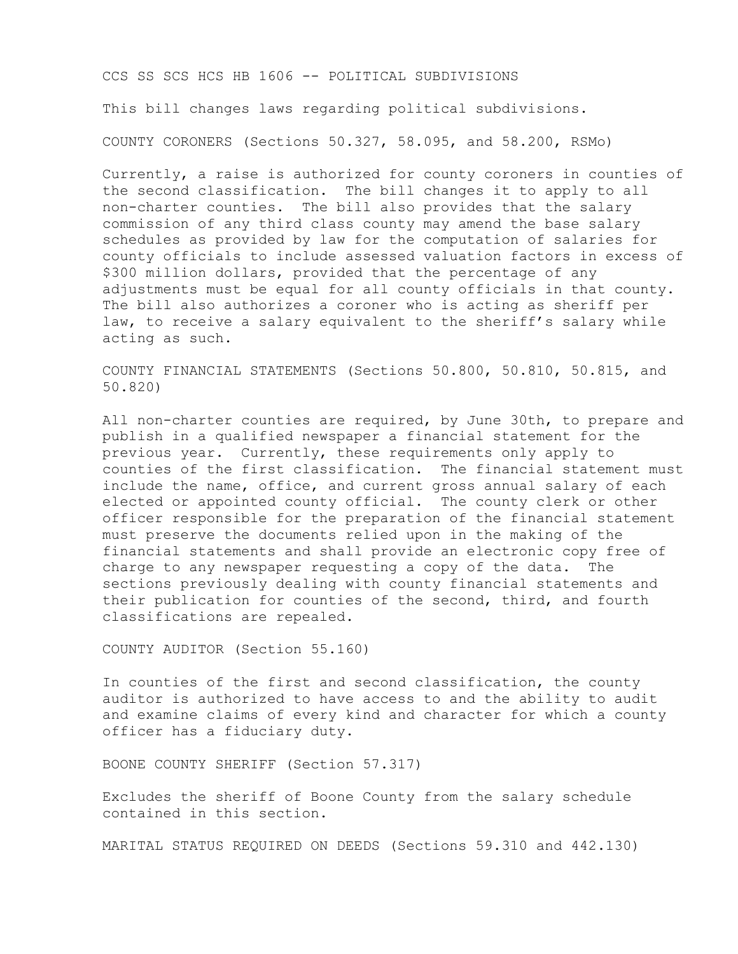CCS SS SCS HCS HB 1606 -- POLITICAL SUBDIVISIONS This bill changes laws regarding political subdivisions. COUNTY CORONERS (Sections 50.327, 58.095, and 58.200, RSMo)

Currently, a raise is authorized for county coroners in counties of the second classification. The bill changes it to apply to all non-charter counties. The bill also provides that the salary commission of any third class county may amend the base salary schedules as provided by law for the computation of salaries for county officials to include assessed valuation factors in excess of \$300 million dollars, provided that the percentage of any adjustments must be equal for all county officials in that county. The bill also authorizes a coroner who is acting as sheriff per law, to receive a salary equivalent to the sheriff's salary while acting as such.

COUNTY FINANCIAL STATEMENTS (Sections 50.800, 50.810, 50.815, and 50.820)

All non-charter counties are required, by June 30th, to prepare and publish in a qualified newspaper a financial statement for the previous year. Currently, these requirements only apply to counties of the first classification. The financial statement must include the name, office, and current gross annual salary of each elected or appointed county official. The county clerk or other officer responsible for the preparation of the financial statement must preserve the documents relied upon in the making of the financial statements and shall provide an electronic copy free of charge to any newspaper requesting a copy of the data. The sections previously dealing with county financial statements and their publication for counties of the second, third, and fourth classifications are repealed.

COUNTY AUDITOR (Section 55.160)

In counties of the first and second classification, the county auditor is authorized to have access to and the ability to audit and examine claims of every kind and character for which a county officer has a fiduciary duty.

BOONE COUNTY SHERIFF (Section 57.317)

Excludes the sheriff of Boone County from the salary schedule contained in this section.

MARITAL STATUS REQUIRED ON DEEDS (Sections 59.310 and 442.130)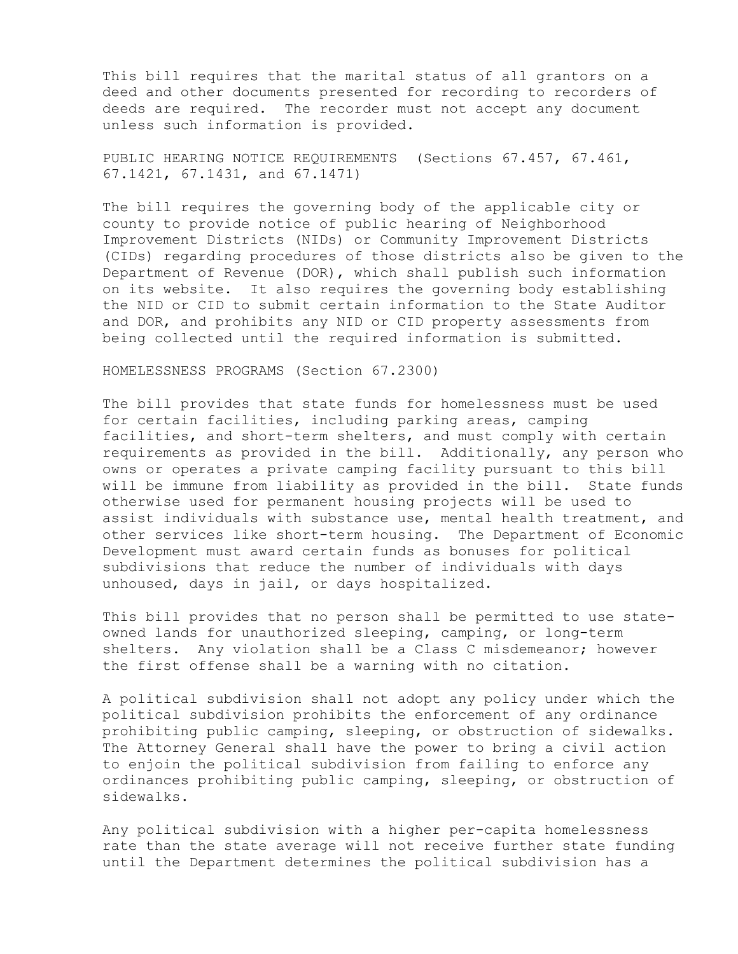This bill requires that the marital status of all grantors on a deed and other documents presented for recording to recorders of deeds are required. The recorder must not accept any document unless such information is provided.

PUBLIC HEARING NOTICE REQUIREMENTS (Sections 67.457, 67.461, 67.1421, 67.1431, and 67.1471)

The bill requires the governing body of the applicable city or county to provide notice of public hearing of Neighborhood Improvement Districts (NIDs) or Community Improvement Districts (CIDs) regarding procedures of those districts also be given to the Department of Revenue (DOR), which shall publish such information on its website. It also requires the governing body establishing the NID or CID to submit certain information to the State Auditor and DOR, and prohibits any NID or CID property assessments from being collected until the required information is submitted.

HOMELESSNESS PROGRAMS (Section 67.2300)

The bill provides that state funds for homelessness must be used for certain facilities, including parking areas, camping facilities, and short-term shelters, and must comply with certain requirements as provided in the bill. Additionally, any person who owns or operates a private camping facility pursuant to this bill will be immune from liability as provided in the bill. State funds otherwise used for permanent housing projects will be used to assist individuals with substance use, mental health treatment, and other services like short-term housing. The Department of Economic Development must award certain funds as bonuses for political subdivisions that reduce the number of individuals with days unhoused, days in jail, or days hospitalized.

This bill provides that no person shall be permitted to use stateowned lands for unauthorized sleeping, camping, or long-term shelters. Any violation shall be a Class C misdemeanor; however the first offense shall be a warning with no citation.

A political subdivision shall not adopt any policy under which the political subdivision prohibits the enforcement of any ordinance prohibiting public camping, sleeping, or obstruction of sidewalks. The Attorney General shall have the power to bring a civil action to enjoin the political subdivision from failing to enforce any ordinances prohibiting public camping, sleeping, or obstruction of sidewalks.

Any political subdivision with a higher per-capita homelessness rate than the state average will not receive further state funding until the Department determines the political subdivision has a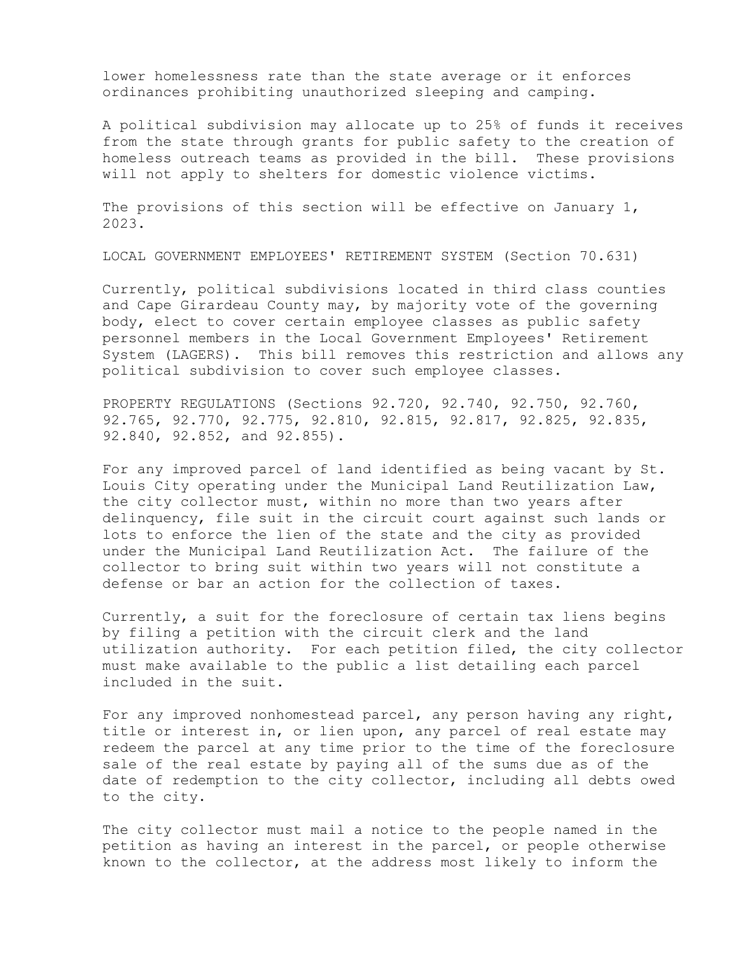lower homelessness rate than the state average or it enforces ordinances prohibiting unauthorized sleeping and camping.

A political subdivision may allocate up to 25% of funds it receives from the state through grants for public safety to the creation of homeless outreach teams as provided in the bill. These provisions will not apply to shelters for domestic violence victims.

The provisions of this section will be effective on January 1, 2023.

LOCAL GOVERNMENT EMPLOYEES' RETIREMENT SYSTEM (Section 70.631)

Currently, political subdivisions located in third class counties and Cape Girardeau County may, by majority vote of the governing body, elect to cover certain employee classes as public safety personnel members in the Local Government Employees' Retirement System (LAGERS). This bill removes this restriction and allows any political subdivision to cover such employee classes.

PROPERTY REGULATIONS (Sections 92.720, 92.740, 92.750, 92.760, 92.765, 92.770, 92.775, 92.810, 92.815, 92.817, 92.825, 92.835, 92.840, 92.852, and 92.855).

For any improved parcel of land identified as being vacant by St. Louis City operating under the Municipal Land Reutilization Law, the city collector must, within no more than two years after delinquency, file suit in the circuit court against such lands or lots to enforce the lien of the state and the city as provided under the Municipal Land Reutilization Act. The failure of the collector to bring suit within two years will not constitute a defense or bar an action for the collection of taxes.

Currently, a suit for the foreclosure of certain tax liens begins by filing a petition with the circuit clerk and the land utilization authority. For each petition filed, the city collector must make available to the public a list detailing each parcel included in the suit.

For any improved nonhomestead parcel, any person having any right, title or interest in, or lien upon, any parcel of real estate may redeem the parcel at any time prior to the time of the foreclosure sale of the real estate by paying all of the sums due as of the date of redemption to the city collector, including all debts owed to the city.

The city collector must mail a notice to the people named in the petition as having an interest in the parcel, or people otherwise known to the collector, at the address most likely to inform the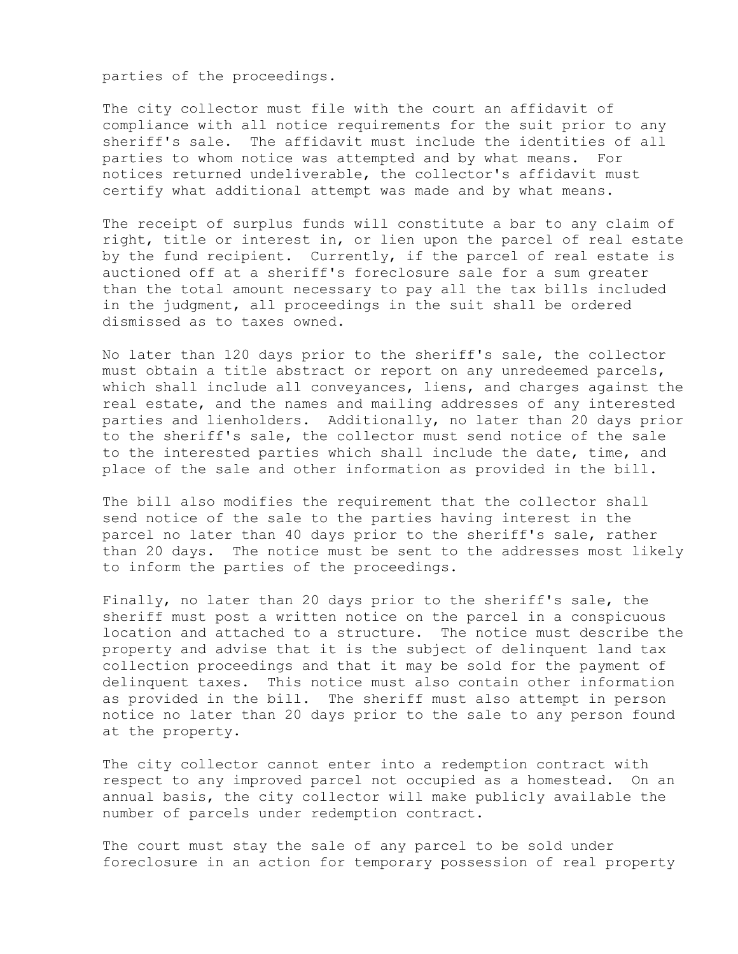parties of the proceedings.

The city collector must file with the court an affidavit of compliance with all notice requirements for the suit prior to any sheriff's sale. The affidavit must include the identities of all parties to whom notice was attempted and by what means. For notices returned undeliverable, the collector's affidavit must certify what additional attempt was made and by what means.

The receipt of surplus funds will constitute a bar to any claim of right, title or interest in, or lien upon the parcel of real estate by the fund recipient. Currently, if the parcel of real estate is auctioned off at a sheriff's foreclosure sale for a sum greater than the total amount necessary to pay all the tax bills included in the judgment, all proceedings in the suit shall be ordered dismissed as to taxes owned.

No later than 120 days prior to the sheriff's sale, the collector must obtain a title abstract or report on any unredeemed parcels, which shall include all conveyances, liens, and charges against the real estate, and the names and mailing addresses of any interested parties and lienholders. Additionally, no later than 20 days prior to the sheriff's sale, the collector must send notice of the sale to the interested parties which shall include the date, time, and place of the sale and other information as provided in the bill.

The bill also modifies the requirement that the collector shall send notice of the sale to the parties having interest in the parcel no later than 40 days prior to the sheriff's sale, rather than 20 days. The notice must be sent to the addresses most likely to inform the parties of the proceedings.

Finally, no later than 20 days prior to the sheriff's sale, the sheriff must post a written notice on the parcel in a conspicuous location and attached to a structure. The notice must describe the property and advise that it is the subject of delinquent land tax collection proceedings and that it may be sold for the payment of delinquent taxes. This notice must also contain other information as provided in the bill. The sheriff must also attempt in person notice no later than 20 days prior to the sale to any person found at the property.

The city collector cannot enter into a redemption contract with respect to any improved parcel not occupied as a homestead. On an annual basis, the city collector will make publicly available the number of parcels under redemption contract.

The court must stay the sale of any parcel to be sold under foreclosure in an action for temporary possession of real property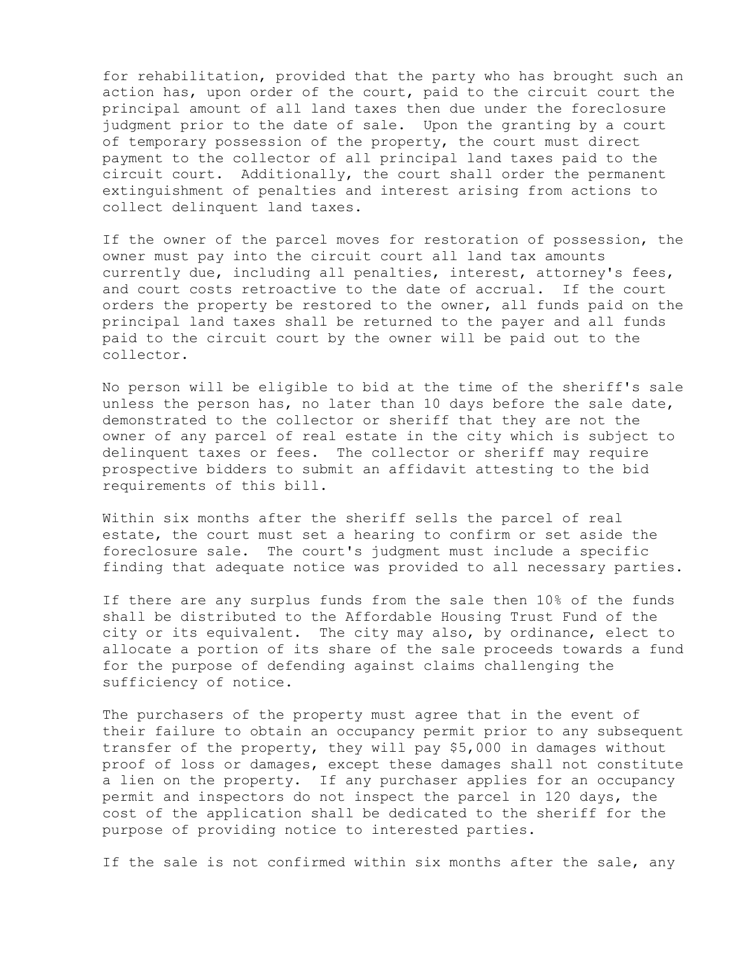for rehabilitation, provided that the party who has brought such an action has, upon order of the court, paid to the circuit court the principal amount of all land taxes then due under the foreclosure judgment prior to the date of sale. Upon the granting by a court of temporary possession of the property, the court must direct payment to the collector of all principal land taxes paid to the circuit court. Additionally, the court shall order the permanent extinguishment of penalties and interest arising from actions to collect delinquent land taxes.

If the owner of the parcel moves for restoration of possession, the owner must pay into the circuit court all land tax amounts currently due, including all penalties, interest, attorney's fees, and court costs retroactive to the date of accrual. If the court orders the property be restored to the owner, all funds paid on the principal land taxes shall be returned to the payer and all funds paid to the circuit court by the owner will be paid out to the collector.

No person will be eligible to bid at the time of the sheriff's sale unless the person has, no later than 10 days before the sale date, demonstrated to the collector or sheriff that they are not the owner of any parcel of real estate in the city which is subject to delinquent taxes or fees. The collector or sheriff may require prospective bidders to submit an affidavit attesting to the bid requirements of this bill.

Within six months after the sheriff sells the parcel of real estate, the court must set a hearing to confirm or set aside the foreclosure sale. The court's judgment must include a specific finding that adequate notice was provided to all necessary parties.

If there are any surplus funds from the sale then 10% of the funds shall be distributed to the Affordable Housing Trust Fund of the city or its equivalent. The city may also, by ordinance, elect to allocate a portion of its share of the sale proceeds towards a fund for the purpose of defending against claims challenging the sufficiency of notice.

The purchasers of the property must agree that in the event of their failure to obtain an occupancy permit prior to any subsequent transfer of the property, they will pay \$5,000 in damages without proof of loss or damages, except these damages shall not constitute a lien on the property. If any purchaser applies for an occupancy permit and inspectors do not inspect the parcel in 120 days, the cost of the application shall be dedicated to the sheriff for the purpose of providing notice to interested parties.

If the sale is not confirmed within six months after the sale, any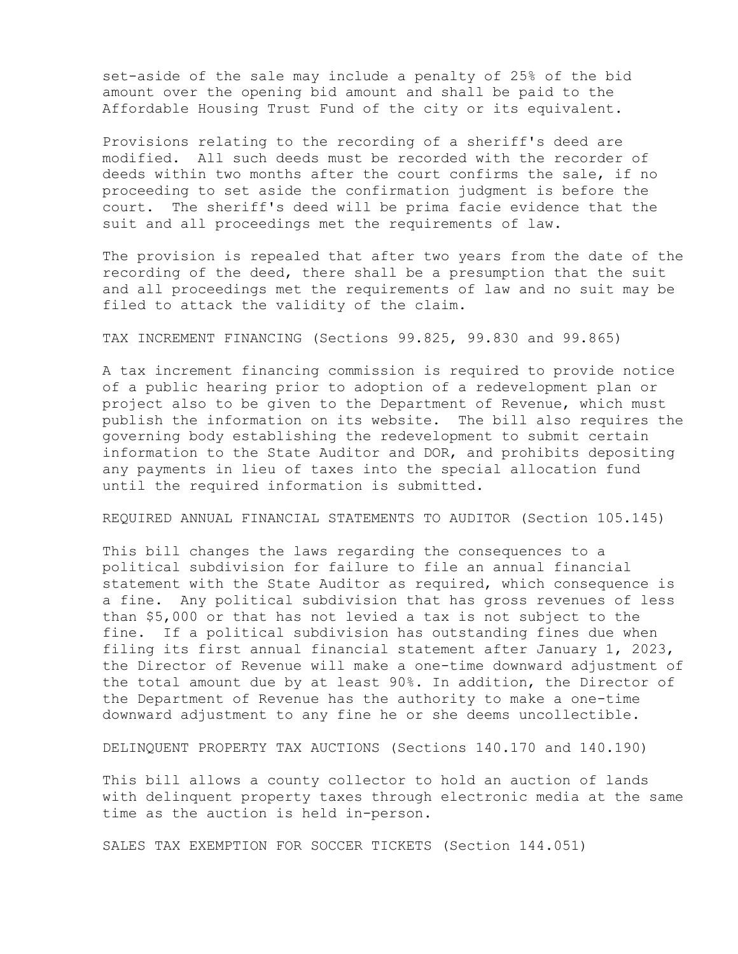set-aside of the sale may include a penalty of 25% of the bid amount over the opening bid amount and shall be paid to the Affordable Housing Trust Fund of the city or its equivalent.

Provisions relating to the recording of a sheriff's deed are modified. All such deeds must be recorded with the recorder of deeds within two months after the court confirms the sale, if no proceeding to set aside the confirmation judgment is before the court. The sheriff's deed will be prima facie evidence that the suit and all proceedings met the requirements of law.

The provision is repealed that after two years from the date of the recording of the deed, there shall be a presumption that the suit and all proceedings met the requirements of law and no suit may be filed to attack the validity of the claim.

TAX INCREMENT FINANCING (Sections 99.825, 99.830 and 99.865)

A tax increment financing commission is required to provide notice of a public hearing prior to adoption of a redevelopment plan or project also to be given to the Department of Revenue, which must publish the information on its website. The bill also requires the governing body establishing the redevelopment to submit certain information to the State Auditor and DOR, and prohibits depositing any payments in lieu of taxes into the special allocation fund until the required information is submitted.

REQUIRED ANNUAL FINANCIAL STATEMENTS TO AUDITOR (Section 105.145)

This bill changes the laws regarding the consequences to a political subdivision for failure to file an annual financial statement with the State Auditor as required, which consequence is a fine. Any political subdivision that has gross revenues of less than \$5,000 or that has not levied a tax is not subject to the fine. If a political subdivision has outstanding fines due when filing its first annual financial statement after January 1, 2023, the Director of Revenue will make a one-time downward adjustment of the total amount due by at least 90%. In addition, the Director of the Department of Revenue has the authority to make a one-time downward adjustment to any fine he or she deems uncollectible.

DELINQUENT PROPERTY TAX AUCTIONS (Sections 140.170 and 140.190)

This bill allows a county collector to hold an auction of lands with delinquent property taxes through electronic media at the same time as the auction is held in-person.

SALES TAX EXEMPTION FOR SOCCER TICKETS (Section 144.051)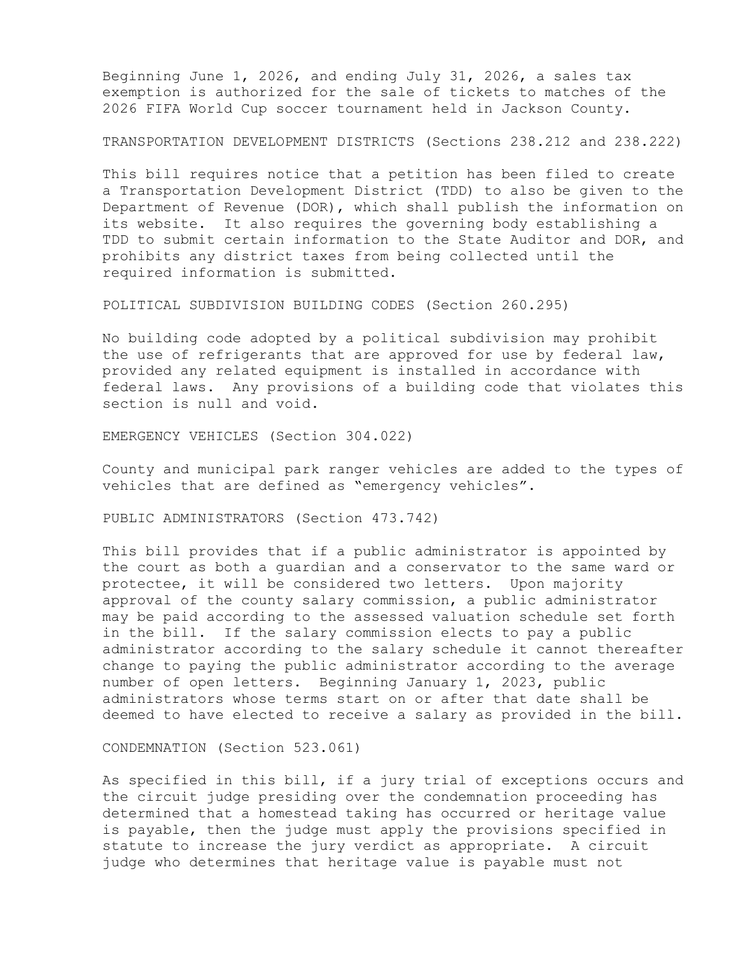Beginning June 1, 2026, and ending July 31, 2026, a sales tax exemption is authorized for the sale of tickets to matches of the 2026 FIFA World Cup soccer tournament held in Jackson County.

TRANSPORTATION DEVELOPMENT DISTRICTS (Sections 238.212 and 238.222)

This bill requires notice that a petition has been filed to create a Transportation Development District (TDD) to also be given to the Department of Revenue (DOR), which shall publish the information on its website. It also requires the governing body establishing a TDD to submit certain information to the State Auditor and DOR, and prohibits any district taxes from being collected until the required information is submitted.

POLITICAL SUBDIVISION BUILDING CODES (Section 260.295)

No building code adopted by a political subdivision may prohibit the use of refrigerants that are approved for use by federal law, provided any related equipment is installed in accordance with federal laws. Any provisions of a building code that violates this section is null and void.

EMERGENCY VEHICLES (Section 304.022)

County and municipal park ranger vehicles are added to the types of vehicles that are defined as "emergency vehicles".

PUBLIC ADMINISTRATORS (Section 473.742)

This bill provides that if a public administrator is appointed by the court as both a guardian and a conservator to the same ward or protectee, it will be considered two letters. Upon majority approval of the county salary commission, a public administrator may be paid according to the assessed valuation schedule set forth in the bill. If the salary commission elects to pay a public administrator according to the salary schedule it cannot thereafter change to paying the public administrator according to the average number of open letters. Beginning January 1, 2023, public administrators whose terms start on or after that date shall be deemed to have elected to receive a salary as provided in the bill.

CONDEMNATION (Section 523.061)

As specified in this bill, if a jury trial of exceptions occurs and the circuit judge presiding over the condemnation proceeding has determined that a homestead taking has occurred or heritage value is payable, then the judge must apply the provisions specified in statute to increase the jury verdict as appropriate. A circuit judge who determines that heritage value is payable must not